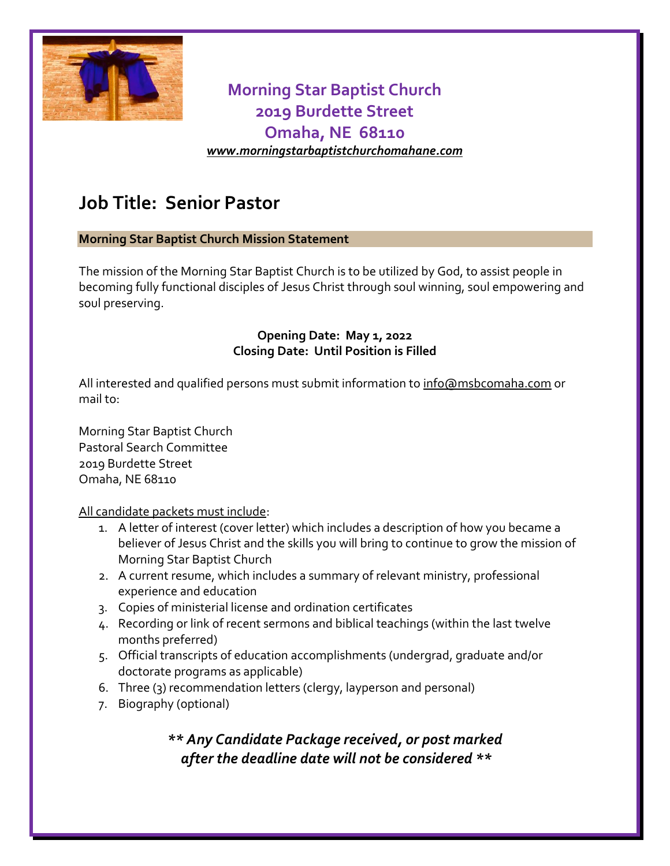

## **Morning Star Baptist Church 2019 Burdette Street Omaha, NE 68110** *[www.morningstarbaptistchurchomahane.com](http://www.morningstarbaptistchurchomahane.com/)*

# **Job Title: Senior Pastor**

#### **Morning Star Baptist Church Mission Statement**

The mission of the Morning Star Baptist Church is to be utilized by God, to assist people in becoming fully functional disciples of Jesus Christ through soul winning, soul empowering and soul preserving.

#### **Opening Date: May 1, 2022 Closing Date: Until Position is Filled**

All interested and qualified persons must submit information to [info@msbcomaha.com](mailto:pastoralsearch@msbcomaha.com) or mail to:

Morning Star Baptist Church Pastoral Search Committee 2019 Burdette Street Omaha, NE 68110

All candidate packets must include:

- 1. A letter of interest (cover letter) which includes a description of how you became a believer of Jesus Christ and the skills you will bring to continue to grow the mission of Morning Star Baptist Church
- 2. A current resume, which includes a summary of relevant ministry, professional experience and education
- 3. Copies of ministerial license and ordination certificates
- 4. Recording or link of recent sermons and biblical teachings (within the last twelve months preferred)
- 5. Official transcripts of education accomplishments (undergrad, graduate and/or doctorate programs as applicable)
- 6. Three (3) recommendation letters (clergy, layperson and personal)
- 7. Biography (optional)

## *\*\* Any Candidate Package received, or post marked after the deadline date will not be considered \*\**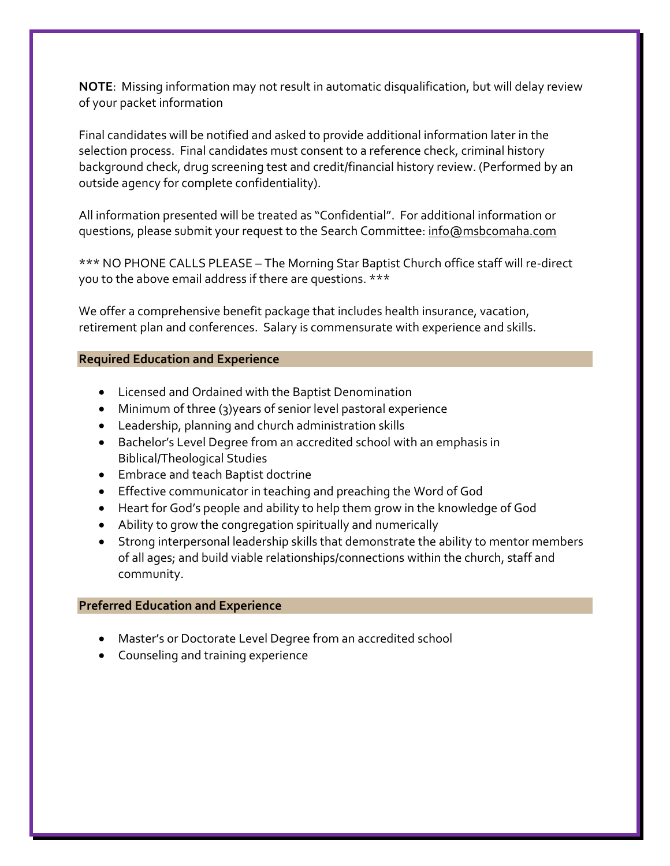**NOTE**: Missing information may not result in automatic disqualification, but will delay review of your packet information

Final candidates will be notified and asked to provide additional information later in the selection process. Final candidates must consent to a reference check, criminal history background check, drug screening test and credit/financial history review. (Performed by an outside agency for complete confidentiality).

All information presented will be treated as "Confidential". For additional information or questions, please submit your request to the Search Committee[: info@msbcomaha.com](mailto:pastoralsearch@msbcomaha.com)

\*\*\* NO PHONE CALLS PLEASE – The Morning Star Baptist Church office staff will re-direct you to the above email address if there are questions. \*\*\*

We offer a comprehensive benefit package that includes health insurance, vacation, retirement plan and conferences. Salary is commensurate with experience and skills.

#### **Required Education and Experience**

- Licensed and Ordained with the Baptist Denomination
- Minimum of three (3)years of senior level pastoral experience
- Leadership, planning and church administration skills
- Bachelor's Level Degree from an accredited school with an emphasis in Biblical/Theological Studies
- Embrace and teach Baptist doctrine
- Effective communicator in teaching and preaching the Word of God
- Heart for God's people and ability to help them grow in the knowledge of God
- Ability to grow the congregation spiritually and numerically
- Strong interpersonal leadership skills that demonstrate the ability to mentor members of all ages; and build viable relationships/connections within the church, staff and community.

#### **Preferred Education and Experience**

- Master's or Doctorate Level Degree from an accredited school
- Counseling and training experience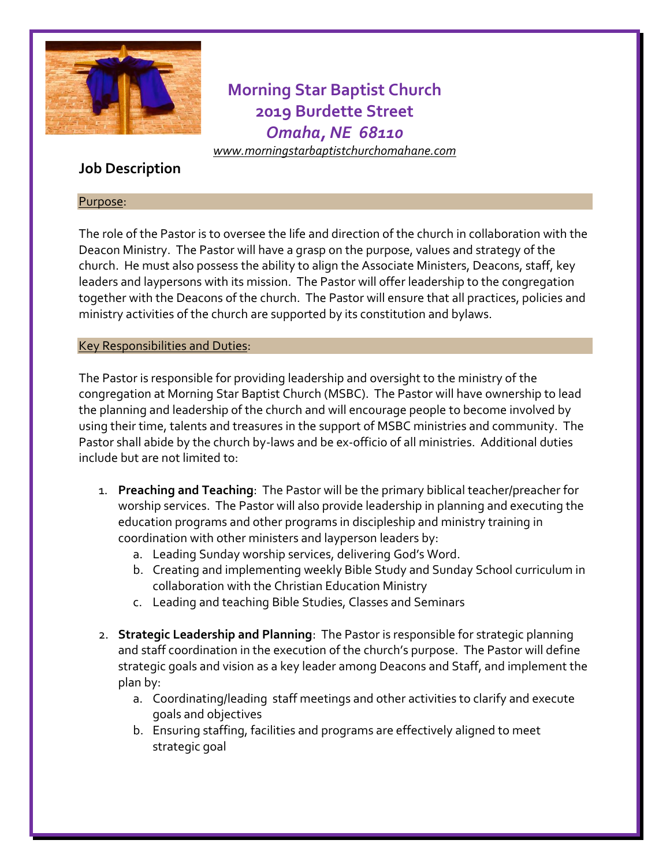

**Morning Star Baptist Church 2019 Burdette Street** *Omaha, NE 68110*

*[www.morningstarbaptistchurchomahane.com](http://www.morningstarbaptistchurchomahane.com/)*

## **Job Description**

#### Purpose:

The role of the Pastor is to oversee the life and direction of the church in collaboration with the Deacon Ministry. The Pastor will have a grasp on the purpose, values and strategy of the church. He must also possess the ability to align the Associate Ministers, Deacons, staff, key leaders and laypersons with its mission. The Pastor will offer leadership to the congregation together with the Deacons of the church. The Pastor will ensure that all practices, policies and ministry activities of the church are supported by its constitution and bylaws.

#### Key Responsibilities and Duties:

The Pastor is responsible for providing leadership and oversight to the ministry of the congregation at Morning Star Baptist Church (MSBC). The Pastor will have ownership to lead the planning and leadership of the church and will encourage people to become involved by using their time, talents and treasures in the support of MSBC ministries and community. The Pastor shall abide by the church by-laws and be ex-officio of all ministries. Additional duties include but are not limited to:

- 1. **Preaching and Teaching**: The Pastor will be the primary biblical teacher/preacher for worship services. The Pastor will also provide leadership in planning and executing the education programs and other programs in discipleship and ministry training in coordination with other ministers and layperson leaders by:
	- a. Leading Sunday worship services, delivering God's Word.
	- b. Creating and implementing weekly Bible Study and Sunday School curriculum in collaboration with the Christian Education Ministry
	- c. Leading and teaching Bible Studies, Classes and Seminars
- 2. **Strategic Leadership and Planning**: The Pastor is responsible for strategic planning and staff coordination in the execution of the church's purpose. The Pastor will define strategic goals and vision as a key leader among Deacons and Staff, and implement the plan by:
	- a. Coordinating/leading staff meetings and other activities to clarify and execute goals and objectives
	- b. Ensuring staffing, facilities and programs are effectively aligned to meet strategic goal